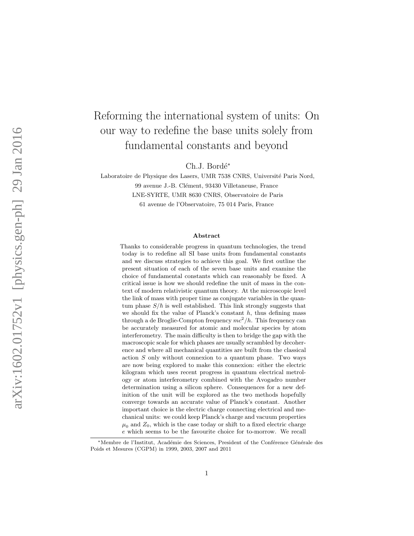# Reforming the international system of units: On our way to redefine the base units solely from fundamental constants and beyond

Ch.J. Bordé\*

Laboratoire de Physique des Lasers, UMR 7538 CNRS, Université Paris Nord, 99 avenue J.-B. Clément, 93430 Villetaneuse, France

LNE-SYRTE, UMR 8630 CNRS, Observatoire de Paris

61 avenue de l'Observatoire, 75 014 Paris, France

#### Abstract

Thanks to considerable progress in quantum technologies, the trend today is to redefine all SI base units from fundamental constants and we discuss strategies to achieve this goal. We first outline the present situation of each of the seven base units and examine the choice of fundamental constants which can reasonably be fixed. A critical issue is how we should redefine the unit of mass in the context of modern relativistic quantum theory. At the microscopic level the link of mass with proper time as conjugate variables in the quantum phase  $S/\hbar$  is well established. This link strongly suggests that we should fix the value of Planck's constant  $h$ , thus defining mass through a de Broglie-Compton frequency  $mc^2/h$ . This frequency can be accurately measured for atomic and molecular species by atom interferometry. The main difficulty is then to bridge the gap with the macroscopic scale for which phases are usually scrambled by decoherence and where all mechanical quantities are built from the classical action S only without connexion to a quantum phase. Two ways are now being explored to make this connexion: either the electric kilogram which uses recent progress in quantum electrical metrology or atom interferometry combined with the Avogadro number determination using a silicon sphere. Consequences for a new definition of the unit will be explored as the two methods hopefully converge towards an accurate value of Planck's constant. Another important choice is the electric charge connecting electrical and mechanical units: we could keep Planck's charge and vacuum properties  $\mu_0$  and  $Z_0$ , which is the case today or shift to a fixed electric charge e which seems to be the favourite choice for to-morrow. We recall

<sup>\*</sup>Membre de l'Institut, Académie des Sciences, President of the Conférence Générale des Poids et Mesures (CGPM) in 1999, 2003, 2007 and 2011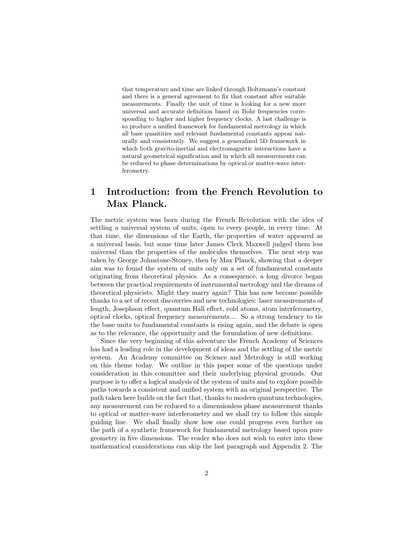that temperature and time are linked through Boltzmann's constant and there is a general agreement to fix that constant after suitable measurements. Finally the unit of time is looking for a new more universal and accurate definition based on Bohr frequencies corresponding to higher and higher frequency clocks. A last challenge is to produce a unified framework for fundamental metrology in which all base quantities and relevant fundamental constants appear naturally and consistently. We suggest a generalized 5D framework in which both gravito-inertial and electromagnetic interactions have a natural geometrical signification and in which all measurements can be reduced to phase determinations by optical or matter-wave interferometry.

### 1 Introduction: from the French Revolution to Max Planck.

The metric system was born during the French Revolution with the idea of settling a universal system of units, open to every people, in every time. At that time, the dimensions of the Earth, the properties of water appeared as a universal basis, but some time later James Clerk Maxwell judged them less universal than the properties of the molecules themselves. The next step was taken by George Johnstone-Stoney, then by Max Planck, showing that a deeper aim was to found the system of units only on a set of fundamental constants originating from theoretical physics. As a consequence, a long divorce began between the practical requirements of instrumental metrology and the dreams of theoretical physicists. Might they marry again? This has now become possible thanks to a set of recent discoveries and new technologies: laser measurements of length, Josephson effect, quantum Hall effect, cold atoms, atom interferometry, optical clocks, optical frequency measurements.... So a strong tendency to tie the base units to fundamental constants is rising again, and the debate is open as to the relevance, the opportunity and the formulation of new definitions.

Since the very beginning of this adventure the French Academy of Sciences has had a leading role in the development of ideas and the settling of the metric system. An Academy committee on Science and Metrology is still working on this theme today. We outline in this paper some of the questions under consideration in this committee and their underlying physical grounds. Our purpose is to offer a logical analysis of the system of units and to explore possible paths towards a consistent and unified system with an original perspective. The path taken here builds on the fact that, thanks to modern quantum technologies, any measurement can be reduced to a dimensionless phase measurement thanks to optical or matter-wave interferometry and we shall try to follow this simple guiding line. We shall finally show how one could progress even further on the path of a synthetic framework for fundamental metrology based upon pure geometry in five dimensions. The reader who does not wish to enter into these mathematical considerations can skip the last paragraph and Appendix 2. The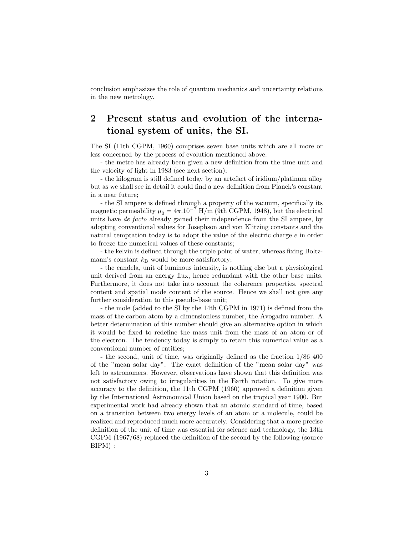conclusion emphasizes the role of quantum mechanics and uncertainty relations in the new metrology.

### 2 Present status and evolution of the international system of units, the SI.

The SI (11th CGPM, 1960) comprises seven base units which are all more or less concerned by the process of evolution mentioned above:

- the metre has already been given a new definition from the time unit and the velocity of light in 1983 (see next section);

- the kilogram is still defined today by an artefact of iridium/platinum alloy but as we shall see in detail it could find a new definition from Planck's constant in a near future;

- the SI ampere is defined through a property of the vacuum, specifically its magnetic permeability  $\mu_0 = 4\pi \cdot 10^{-7}$  H/m (9th CGPM, 1948), but the electrical units have *de facto* already gained their independence from the SI ampere, by adopting conventional values for Josephson and von Klitzing constants and the natural temptation today is to adopt the value of the electric charge e in order to freeze the numerical values of these constants;

- the kelvin is defined through the triple point of water, whereas fixing Boltzmann's constant  $k_B$  would be more satisfactory;

- the candela, unit of luminous intensity, is nothing else but a physiological unit derived from an energy flux, hence redundant with the other base units. Furthermore, it does not take into account the coherence properties, spectral content and spatial mode content of the source. Hence we shall not give any further consideration to this pseudo-base unit;

- the mole (added to the SI by the 14th CGPM in 1971) is defined from the mass of the carbon atom by a dimensionless number, the Avogadro number. A better determination of this number should give an alternative option in which it would be fixed to redefine the mass unit from the mass of an atom or of the electron. The tendency today is simply to retain this numerical value as a conventional number of entities;

- the second, unit of time, was originally defined as the fraction 1/86 400 of the "mean solar day". The exact definition of the "mean solar day" was left to astronomers. However, observations have shown that this definition was not satisfactory owing to irregularities in the Earth rotation. To give more accuracy to the definition, the 11th CGPM (1960) approved a definition given by the International Astronomical Union based on the tropical year 1900. But experimental work had already shown that an atomic standard of time, based on a transition between two energy levels of an atom or a molecule, could be realized and reproduced much more accurately. Considering that a more precise definition of the unit of time was essential for science and technology, the 13th CGPM (1967/68) replaced the definition of the second by the following (source BIPM) :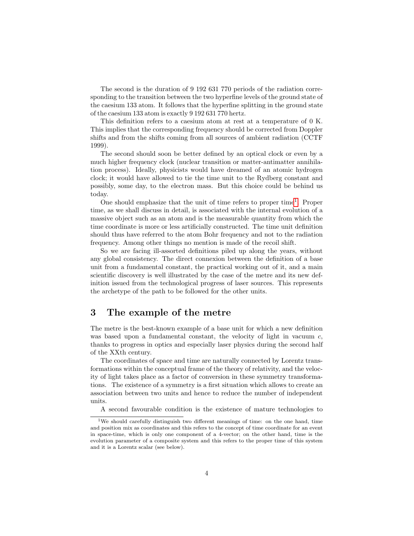The second is the duration of 9 192 631 770 periods of the radiation corresponding to the transition between the two hyperfine levels of the ground state of the caesium 133 atom. It follows that the hyperfine splitting in the ground state of the caesium 133 atom is exactly 9 192 631 770 hertz.

This definition refers to a caesium atom at rest at a temperature of 0 K. This implies that the corresponding frequency should be corrected from Doppler shifts and from the shifts coming from all sources of ambient radiation (CCTF 1999).

The second should soon be better defined by an optical clock or even by a much higher frequency clock (nuclear transition or matter-antimatter annihilation process). Ideally, physicists would have dreamed of an atomic hydrogen clock; it would have allowed to tie the time unit to the Rydberg constant and possibly, some day, to the electron mass. But this choice could be behind us today.

One should emphasize that the unit of time refers to proper time<sup>[1](#page-3-0)</sup>. Proper time, as we shall discuss in detail, is associated with the internal evolution of a massive object such as an atom and is the measurable quantity from which the time coordinate is more or less artificially constructed. The time unit definition should thus have referred to the atom Bohr frequency and not to the radiation frequency. Among other things no mention is made of the recoil shift.

So we are facing ill-assorted definitions piled up along the years, without any global consistency. The direct connexion between the definition of a base unit from a fundamental constant, the practical working out of it, and a main scientific discovery is well illustrated by the case of the metre and its new definition issued from the technological progress of laser sources. This represents the archetype of the path to be followed for the other units.

### 3 The example of the metre

The metre is the best-known example of a base unit for which a new definition was based upon a fundamental constant, the velocity of light in vacuum c, thanks to progress in optics and especially laser physics during the second half of the XXth century.

The coordinates of space and time are naturally connected by Lorentz transformations within the conceptual frame of the theory of relativity, and the velocity of light takes place as a factor of conversion in these symmetry transformations. The existence of a symmetry is a first situation which allows to create an association between two units and hence to reduce the number of independent units.

<span id="page-3-0"></span>A second favourable condition is the existence of mature technologies to

<sup>&</sup>lt;sup>1</sup>We should carefully distinguish two different meanings of time: on the one hand, time and position mix as coordinates and this refers to the concept of time coordinate for an event in space-time, which is only one component of a 4-vector; on the other hand, time is the evolution parameter of a composite system and this refers to the proper time of this system and it is a Lorentz scalar (see below).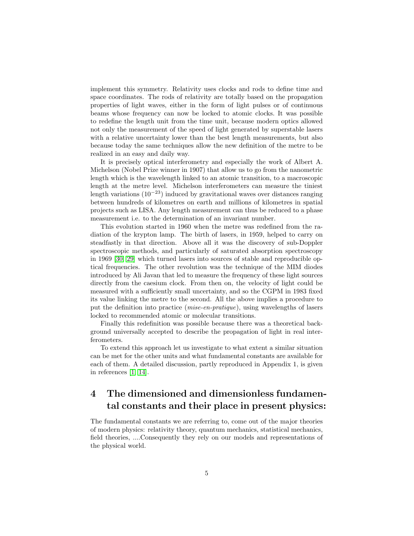implement this symmetry. Relativity uses clocks and rods to define time and space coordinates. The rods of relativity are totally based on the propagation properties of light waves, either in the form of light pulses or of continuous beams whose frequency can now be locked to atomic clocks. It was possible to redefine the length unit from the time unit, because modern optics allowed not only the measurement of the speed of light generated by superstable lasers with a relative uncertainty lower than the best length measurements, but also because today the same techniques allow the new definition of the metre to be realized in an easy and daily way.

It is precisely optical interferometry and especially the work of Albert A. Michelson (Nobel Prize winner in 1907) that allow us to go from the nanometric length which is the wavelength linked to an atomic transition, to a macroscopic length at the metre level. Michelson interferometers can measure the tiniest length variations  $(10^{-23})$  induced by gravitational waves over distances ranging between hundreds of kilometres on earth and millions of kilometres in spatial projects such as LISA. Any length measurement can thus be reduced to a phase measurement i.e. to the determination of an invariant number.

This evolution started in 1960 when the metre was redefined from the radiation of the krypton lamp. The birth of lasers, in 1959, helped to carry on steadfastly in that direction. Above all it was the discovery of sub-Doppler spectroscopic methods, and particularly of saturated absorption spectroscopy in 1969 [\[30,](#page-27-0) [29\]](#page-27-1) which turned lasers into sources of stable and reproducible optical frequencies. The other revolution was the technique of the MIM diodes introduced by Ali Javan that led to measure the frequency of these light sources directly from the caesium clock. From then on, the velocity of light could be measured with a sufficiently small uncertainty, and so the CGPM in 1983 fixed its value linking the metre to the second. All the above implies a procedure to put the definition into practice (mise-en-pratique), using wavelengths of lasers locked to recommended atomic or molecular transitions.

Finally this redefinition was possible because there was a theoretical background universally accepted to describe the propagation of light in real interferometers.

To extend this approach let us investigate to what extent a similar situation can be met for the other units and what fundamental constants are available for each of them. A detailed discussion, partly reproduced in Appendix 1, is given in references [\[1,](#page-26-0) [14\]](#page-26-1).

### 4 The dimensioned and dimensionless fundamental constants and their place in present physics:

The fundamental constants we are referring to, come out of the major theories of modern physics: relativity theory, quantum mechanics, statistical mechanics, field theories, ....Consequently they rely on our models and representations of the physical world.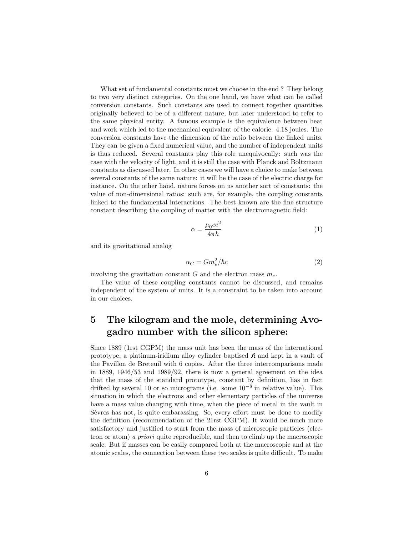What set of fundamental constants must we choose in the end ? They belong to two very distinct categories. On the one hand, we have what can be called conversion constants. Such constants are used to connect together quantities originally believed to be of a different nature, but later understood to refer to the same physical entity. A famous example is the equivalence between heat and work which led to the mechanical equivalent of the calorie: 4.18 joules. The conversion constants have the dimension of the ratio between the linked units. They can be given a fixed numerical value, and the number of independent units is thus reduced. Several constants play this role unequivocally: such was the case with the velocity of light, and it is still the case with Planck and Boltzmann constants as discussed later. In other cases we will have a choice to make between several constants of the same nature: it will be the case of the electric charge for instance. On the other hand, nature forces on us another sort of constants: the value of non-dimensional ratios: such are, for example, the coupling constants linked to the fundamental interactions. The best known are the fine structure constant describing the coupling of matter with the electromagnetic field:

$$
\alpha = \frac{\mu_0 c e^2}{4\pi\hbar} \tag{1}
$$

and its gravitational analog

$$
\alpha_G = Gm_e^2/\hbar c \tag{2}
$$

involving the gravitation constant G and the electron mass  $m_e$ .

The value of these coupling constants cannot be discussed, and remains independent of the system of units. It is a constraint to be taken into account in our choices.

### 5 The kilogram and the mole, determining Avogadro number with the silicon sphere:

Since 1889 (1rst CGPM) the mass unit has been the mass of the international prototype, a platinum-iridium alloy cylinder baptised  $\mathfrak{K}$  and kept in a vault of the Pavillon de Breteuil with 6 copies. After the three intercomparisons made in 1889, 1946/53 and 1989/92, there is now a general agreement on the idea that the mass of the standard prototype, constant by definition, has in fact drifted by several 10 or so micrograms (i.e. some  $10^{-8}$  in relative value). This situation in which the electrons and other elementary particles of the universe have a mass value changing with time, when the piece of metal in the vault in S'evres has not, is quite embarassing. So, every effort must be done to modify the definition (recommendation of the 21rst CGPM). It would be much more satisfactory and justified to start from the mass of microscopic particles (electron or atom) a priori quite reproducible, and then to climb up the macroscopic scale. But if masses can be easily compared both at the macroscopic and at the atomic scales, the connection between these two scales is quite difficult. To make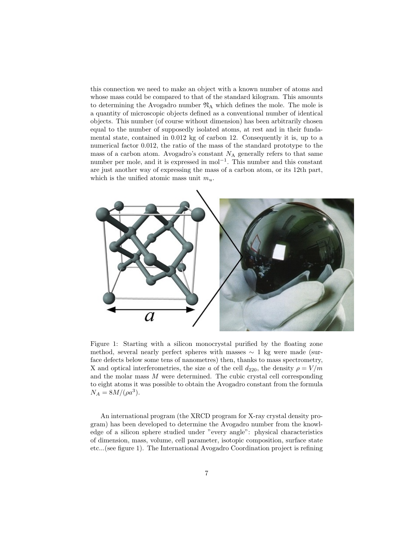this connection we need to make an object with a known number of atoms and whose mass could be compared to that of the standard kilogram. This amounts to determining the Avogadro number  $\mathfrak{N}_A$  which defines the mole. The mole is a quantity of microscopic objects defined as a conventional number of identical objects. This number (of course without dimension) has been arbitrarily chosen equal to the number of supposedly isolated atoms, at rest and in their fundamental state, contained in 0.012 kg of carbon 12. Consequently it is, up to a numerical factor 0.012, the ratio of the mass of the standard prototype to the mass of a carbon atom. Avogadro's constant  $N_A$  generally refers to that same number per mole, and it is expressed in mol<sup>-1</sup>. This number and this constant are just another way of expressing the mass of a carbon atom, or its 12th part, which is the unified atomic mass unit  $m_u$ .



Figure 1: Starting with a silicon monocrystal purified by the floating zone method, several nearly perfect spheres with masses  $\sim 1$  kg were made (surface defects below some tens of nanometres) then, thanks to mass spectrometry, X and optical interferometries, the size a of the cell  $d_{220}$ , the density  $\rho = V/m$ and the molar mass M were determined. The cubic crystal cell corresponding to eight atoms it was possible to obtain the Avogadro constant from the formula  $N_A = 8M/(\rho a^3).$ 

An international program (the XRCD program for X-ray crystal density program) has been developed to determine the Avogadro number from the knowledge of a silicon sphere studied under "every angle": physical characteristics of dimension, mass, volume, cell parameter, isotopic composition, surface state etc...(see figure 1). The International Avogadro Coordination project is refining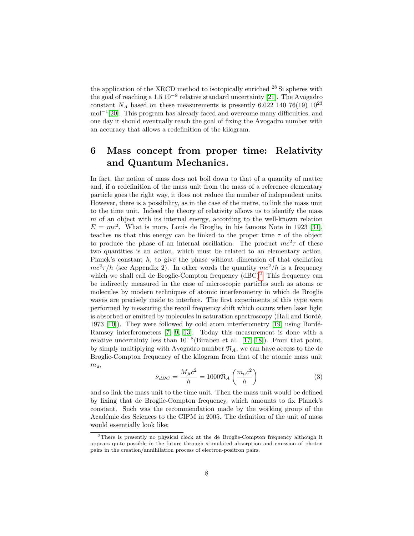the application of the XRCD method to isotopically enriched <sup>28</sup> Si spheres with the goal of reaching a 1.5  $10^{-8}$  relative standard uncertainty [\[21\]](#page-27-2). The Avogadro constant  $N_A$  based on these measurements is presently 6.022 140 76(19) 10<sup>23</sup> mol<sup>-1</sup>[\[20\]](#page-27-3). This program has already faced and overcome many difficulties, and one day it should eventually reach the goal of fixing the Avogadro number with an accuracy that allows a redefinition of the kilogram.

### 6 Mass concept from proper time: Relativity and Quantum Mechanics.

In fact, the notion of mass does not boil down to that of a quantity of matter and, if a redefinition of the mass unit from the mass of a reference elementary particle goes the right way, it does not reduce the number of independent units. However, there is a possibility, as in the case of the metre, to link the mass unit to the time unit. Indeed the theory of relativity allows us to identify the mass  $m$  of an object with its internal energy, according to the well-known relation  $E = mc^2$ . What is more, Louis de Broglie, in his famous Note in 1923 [\[31\]](#page-28-0), teaches us that this energy can be linked to the proper time  $\tau$  of the object to produce the phase of an internal oscillation. The product  $mc^2\tau$  of these two quantities is an action, which must be related to an elementary action, Planck's constant  $h$ , to give the phase without dimension of that oscillation  $mc^2\tau/h$  (see Appendix 2). In other words the quantity  $mc^2/h$  is a frequency which we shall call de Broglie-Compton frequency  $(dBC)^2$  $(dBC)^2$ . This frequency can be indirectly measured in the case of microscopic particles such as atoms or molecules by modern techniques of atomic interferometry in which de Broglie waves are precisely made to interfere. The first experiments of this type were performed by measuring the recoil frequency shift which occurs when laser light is absorbed or emitted by molecules in saturation spectroscopy (Hall and Bordé, 1973  $[10]$ ). They were followed by cold atom interferometry  $[19]$  using Bordé-Ramsey interferometers [\[7,](#page-26-3) [9,](#page-26-4) [13\]](#page-26-5). Today this measurement is done with a relative uncertainty less than  $10^{-8}$ (Biraben et al. [\[17,](#page-27-5) [18\]](#page-27-6)). From that point, by simply multiplying with Avogadro number  $\mathfrak{N}_A$ , we can have access to the de Broglie-Compton frequency of the kilogram from that of the atomic mass unit  $m_{\mathfrak{u}},$ 

$$
\nu_{dBC} = \frac{M_{\mathfrak{K}}c^2}{h} = 1000 \mathfrak{N}_A \left(\frac{m_u c^2}{h}\right) \tag{3}
$$

and so link the mass unit to the time unit. Then the mass unit would be defined by fixing that de Broglie-Compton frequency, which amounts to fix Planck's constant. Such was the recommendation made by the working group of the Académie des Sciences to the CIPM in 2005. The definition of the unit of mass would essentially look like:

<span id="page-7-0"></span><sup>2</sup>There is presently no physical clock at the de Broglie-Compton frequency although it appears quite possible in the future through stimulated absorption and emission of photon pairs in the creation/annihilation process of electron-positron pairs.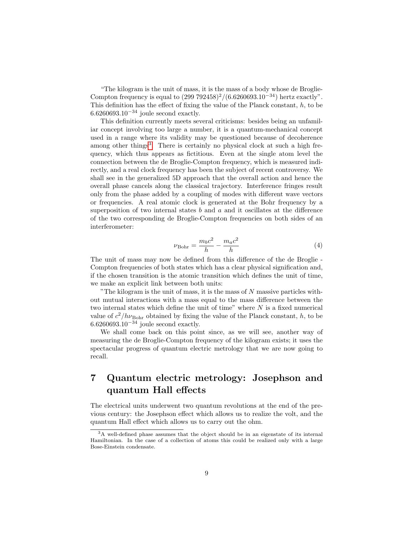"The kilogram is the unit of mass, it is the mass of a body whose de Broglie-Compton frequency is equal to  $(299\ 792458)^{2}/(6.6260693.10^{-34})$  hertz exactly". This definition has the effect of fixing the value of the Planck constant, h, to be  $6.6260693.10^{-34}$  joule second exactly.

This definition currently meets several criticisms: besides being an unfamiliar concept involving too large a number, it is a quantum-mechanical concept used in a range where its validity may be questioned because of decoherence among other things<sup>[3](#page-8-0)</sup>. There is certainly no physical clock at such a high frequency, which thus appears as fictitious. Even at the single atom level the connection between the de Broglie-Compton frequency, which is measured indirectly, and a real clock frequency has been the subject of recent controversy. We shall see in the generalized 5D approach that the overall action and hence the overall phase cancels along the classical trajectory. Interference fringes result only from the phase added by a coupling of modes with different wave vectors or frequencies. A real atomic clock is generated at the Bohr frequency by a superposition of two internal states  $b$  and  $a$  and it oscillates at the difference of the two corresponding de Broglie-Compton frequencies on both sides of an interferometer:

$$
\nu_{\rm Bohr} = \frac{m_b c^2}{h} - \frac{m_a c^2}{h} \tag{4}
$$

The unit of mass may now be defined from this difference of the de Broglie - Compton frequencies of both states which has a clear physical signification and, if the chosen transition is the atomic transition which defines the unit of time, we make an explicit link between both units:

"The kilogram is the unit of mass, it is the mass of N massive particles without mutual interactions with a mass equal to the mass difference between the two internal states which define the unit of time" where  $N$  is a fixed numerical value of  $c^2/h\nu_{\text{Bohr}}$  obtained by fixing the value of the Planck constant, h, to be  $6.6260693.10^{-34}$  joule second exactly.

We shall come back on this point since, as we will see, another way of measuring the de Broglie-Compton frequency of the kilogram exists; it uses the spectacular progress of quantum electric metrology that we are now going to recall.

### 7 Quantum electric metrology: Josephson and quantum Hall effects

The electrical units underwent two quantum revolutions at the end of the previous century: the Josephson effect which allows us to realize the volt, and the quantum Hall effect which allows us to carry out the ohm.

<span id="page-8-0"></span><sup>3</sup>A well-defined phase assumes that the object should be in an eigenstate of its internal Hamiltonian. In the case of a collection of atoms this could be realized only with a large Bose-Einstein condensate.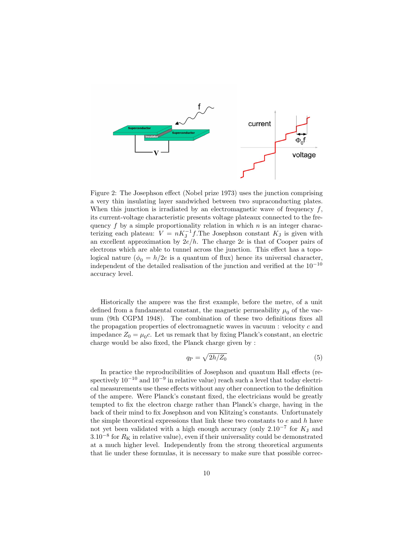

Figure 2: The Josephson effect (Nobel prize 1973) uses the junction comprising a very thin insulating layer sandwiched between two supraconducting plates. When this junction is irradiated by an electromagnetic wave of frequency  $f$ , its current-voltage characteristic presents voltage plateaux connected to the frequency  $f$  by a simple proportionality relation in which  $n$  is an integer characterizing each plateau:  $V = nK_J^{-1}f$ . The Josephson constant  $K_J$  is given with an excellent approximation by  $2e/h$ . The charge 2e is that of Cooper pairs of electrons which are able to tunnel across the junction. This effect has a topological nature  $(\phi_0 = h/2e$  is a quantum of flux) hence its universal character, independent of the detailed realisation of the junction and verified at the 10<sup>−</sup><sup>10</sup> accuracy level.

Historically the ampere was the first example, before the metre, of a unit defined from a fundamental constant, the magnetic permeability  $\mu_0$  of the vacuum (9th CGPM 1948). The combination of these two definitions fixes all the propagation properties of electromagnetic waves in vacuum : velocity c and impedance  $Z_0 = \mu_0 c$ . Let us remark that by fixing Planck's constant, an electric charge would be also fixed, the Planck charge given by :

$$
q_{\rm P} = \sqrt{2h/Z_0} \tag{5}
$$

In practice the reproducibilities of Josephson and quantum Hall effects (respectively  $10^{-10}$  and  $10^{-9}$  in relative value) reach such a level that today electrical measurements use these effects without any other connection to the definition of the ampere. Were Planck's constant fixed, the electricians would be greatly tempted to fix the electron charge rather than Planck's charge, having in the back of their mind to fix Josephson and von Klitzing's constants. Unfortunately the simple theoretical expressions that link these two constants to  $e$  and  $h$  have not yet been validated with a high enough accuracy (only 2.10<sup>-7</sup> for  $K_J$  and  $3.10^{-8}$  for  $R_{\rm K}$  in relative value), even if their universality could be demonstrated at a much higher level. Independently from the strong theoretical arguments that lie under these formulas, it is necessary to make sure that possible correc-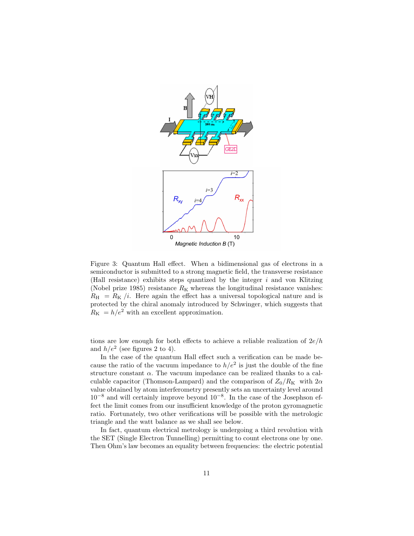

Figure 3: Quantum Hall effect. When a bidimensional gas of electrons in a semiconductor is submitted to a strong magnetic field, the transverse resistance (Hall resistance) exhibits steps quantized by the integer  $i$  and von Klitzing (Nobel prize 1985) resistance  $R_K$  whereas the longitudinal resistance vanishes:  $R_{\rm H}$  =  $R_{\rm K}/i$ . Here again the effect has a universal topological nature and is protected by the chiral anomaly introduced by Schwinger, which suggests that  $R_{\rm K} = h/e^2$  with an excellent approximation.

tions are low enough for both effects to achieve a reliable realization of  $2e/h$ and  $h/e^2$  (see figures 2 to 4).

In the case of the quantum Hall effect such a verification can be made because the ratio of the vacuum impedance to  $h/e^2$  is just the double of the fine structure constant  $\alpha$ . The vacuum impedance can be realized thanks to a calculable capacitor (Thomson-Lampard) and the comparison of  $Z_0/R_K$  with  $2\alpha$ value obtained by atom interferometry presently sets an uncertainty level around 10<sup>−</sup><sup>8</sup> and will certainly improve beyond 10<sup>−</sup><sup>8</sup> . In the case of the Josephson effect the limit comes from our insufficient knowledge of the proton gyromagnetic ratio. Fortunately, two other verifications will be possible with the metrologic triangle and the watt balance as we shall see below.

In fact, quantum electrical metrology is undergoing a third revolution with the SET (Single Electron Tunnelling) permitting to count electrons one by one. Then Ohm's law becomes an equality between frequencies: the electric potential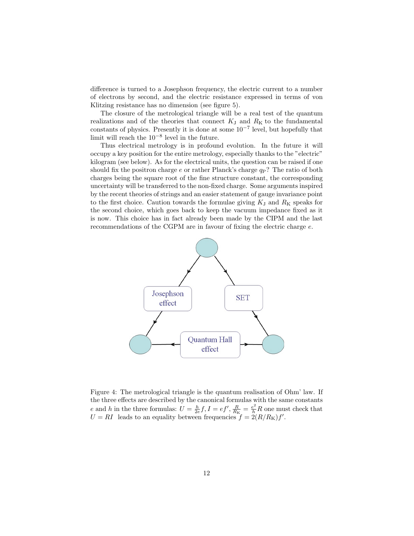difference is turned to a Josephson frequency, the electric current to a number of electrons by second, and the electric resistance expressed in terms of von Klitzing resistance has no dimension (see figure 5).

The closure of the metrological triangle will be a real test of the quantum realizations and of the theories that connect  $K_J$  and  $R_K$  to the fundamental constants of physics. Presently it is done at some  $10^{-7}$  level, but hopefully that limit will reach the 10−<sup>8</sup> level in the future.

Thus electrical metrology is in profound evolution. In the future it will occupy a key position for the entire metrology, especially thanks to the "electric" kilogram (see below). As for the electrical units, the question can be raised if one should fix the positron charge e or rather Planck's charge  $q_P$ ? The ratio of both charges being the square root of the fine structure constant, the corresponding uncertainty will be transferred to the non-fixed charge. Some arguments inspired by the recent theories of strings and an easier statement of gauge invariance point to the first choice. Caution towards the formulae giving  $K_J$  and  $R_K$  speaks for the second choice, which goes back to keep the vacuum impedance fixed as it is now. This choice has in fact already been made by the CIPM and the last recommendations of the CGPM are in favour of fixing the electric charge e.



Figure 4: The metrological triangle is the quantum realisation of Ohm' law. If the three effects are described by the canonical formulas with the same constants e and h in the three formulas:  $U = \frac{h}{2e} f, I = ef', \frac{R}{R_{K}} = \frac{e^2}{h} R$  one must check that  $U = RI$  leads to an equality between frequencies  $f = 2(R/R_K)f'$ .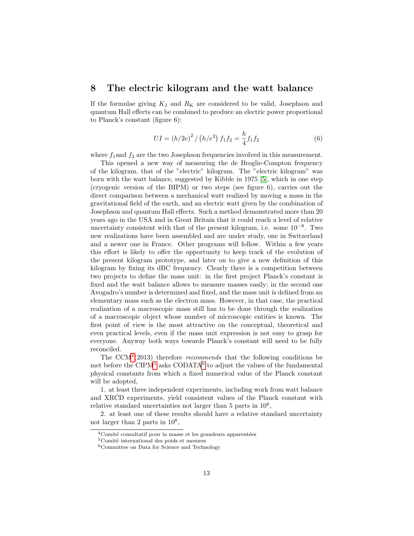#### 8 The electric kilogram and the watt balance

If the formulae giving  $K_J$  and  $R_K$  are considered to be valid, Josephson and quantum Hall effects can be combined to produce an electric power proportional to Planck's constant (figure 6):

$$
UI = (h/2e)^{2} / (h/e^{2}) f_{1} f_{2} = \frac{h}{4} f_{1} f_{2}
$$
 (6)

where  $f_1$  and  $f_2$  are the two Josephson frequencies involved in this measurement.

This opened a new way of measuring the de Broglie-Compton frequency of the kilogram, that of the "electric" kilogram. The "electric kilogram" was born with the watt balance, suggested by Kibble in 1975 [\[5\]](#page-26-6), which in one step (cryogenic version of the BIPM) or two steps (see figure 6), carries out the direct comparison between a mechanical watt realized by moving a mass in the gravitational field of the earth, and an electric watt given by the combination of Josephson and quantum Hall effects. Such a method demonstrated more than 20 years ago in the USA and in Great Britain that it could reach a level of relative uncertainty consistent with that of the present kilogram, i.e. some 10<sup>−</sup><sup>8</sup> . Two new realizations have been assembled and are under study, one in Switzerland and a newer one in France. Other programs will follow. Within a few years this effort is likely to offer the opportunity to keep track of the evolution of the present kilogram prototype, and later on to give a new definition of this kilogram by fixing its dBC frequency. Clearly there is a competition between two projects to define the mass unit: in the first project Planck's constant is fixed and the watt balance allows to measure masses easily; in the second one Avogadro's number is determined and fixed, and the mass unit is defined from an elementary mass such as the electron mass. However, in that case, the practical realization of a macroscopic mass still has to be done through the realization of a macroscopic object whose number of microscopic entities is known. The first point of view is the most attractive on the conceptual, theoretical and even practical levels, even if the mass unit expression is not easy to grasp for everyone. Anyway both ways towards Planck's constant will need to be fully reconciled.

The  $CCM<sup>4</sup>(2013)$  $CCM<sup>4</sup>(2013)$  $CCM<sup>4</sup>(2013)$  therefore *recommends* that the following conditions be met before the  $CIPM<sup>5</sup>$  $CIPM<sup>5</sup>$  $CIPM<sup>5</sup>$  asks  $CODATA<sup>6</sup>$  $CODATA<sup>6</sup>$  $CODATA<sup>6</sup>$  to adjust the values of the fundamental physical constants from which a fixed numerical value of the Planck constant will be adopted,

1. at least three independent experiments, including work from watt balance and XRCD experiments, yield consistent values of the Planck constant with relative standard uncertainties not larger than 5 parts in  $10^8$ ,

2. at least one of these results should have a relative standard uncertainty not larger than 2 parts in  $10^8$ ,

<span id="page-12-0"></span> $4$ Comité consultatif pour la masse et les grandeurs apparentées

<span id="page-12-1"></span> $^5\mathrm{Comit\'e}$  international des poids et mesures

<span id="page-12-2"></span><sup>6</sup>Committee on Data for Science and Technology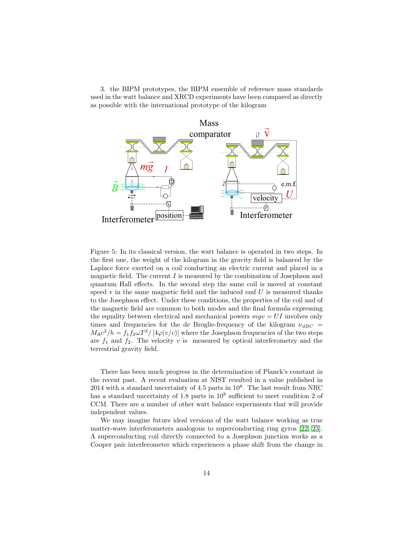3. the BIPM prototypes, the BIPM ensemble of reference mass standards used in the watt balance and XRCD experiments have been compared as directly as possible with the international prototype of the kilogram



Figure 5: In its classical version, the watt balance is operated in two steps. In the first one, the weight of the kilogram in the gravity field is balanced by the Laplace force exerted on a coil conducting an electric current and placed in a magnetic field. The current  $I$  is measured by the combination of Josephson and quantum Hall effects. In the second step the same coil is moved at constant speed v in the same magnetic field and the induced emf  $U$  is measured thanks to the Josephson effect. Under these conditions, the properties of the coil and of the magnetic field are common to both modes and the final formula expressing the equality between electrical and mechanical powers  $mgv = UI$  involves only times and frequencies for the de Broglie-frequency of the kilogram  $\nu_{dBC}$  =  $M_{\mathfrak{K}}c^2/h = f_1f_2\omega T^2/[4\varphi(v/c)]$  where the Josephson frequencies of the two steps are  $f_1$  and  $f_2$ . The velocity v is measured by optical interferometry and the terrestrial gravity field.

There has been much progress in the determination of Planck's constant in the recent past. A recent evaluation at NIST resulted in a value published in  $2014$  with a standard uncertainty of 4.5 parts in  $10^8$ . The last result from NRC has a standard uncertainty of 1.8 parts in  $10^8$  sufficient to meet condition 2 of CCM. There are a number of other watt balance experiments that will provide independent values.

We may imagine future ideal versions of the watt balance working as true matter-wave interferometers analogous to superconducting ring gyros [\[22,](#page-27-7) [23\]](#page-27-8). A superconducting coil directly connected to a Josephson junction works as a Cooper pair interferometer which experiences a phase shift from the change in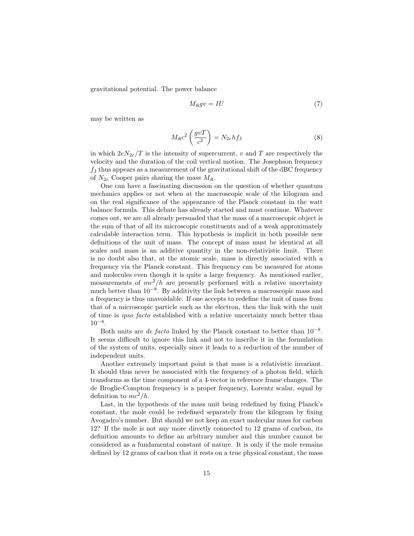gravitational potential. The power balance

$$
M_{\mathfrak{K}}gv = IU \tag{7}
$$

may be written as

$$
M_{\mathfrak{K}}c^2 \left(\frac{gvT}{c^2}\right) = N_{2e}hf_{\mathbf{J}}\tag{8}
$$

in which  $2eN_{2e}/T$  is the intensity of supercurrent, v and T are respectively the velocity and the duration of the coil vertical motion. The Josephson frequency  $f_{\rm J}$  thus appears as a measurement of the gravitational shift of the dBC frequency of  $N_{2e}$  Cooper pairs sharing the mass  $M_{\mathcal{R}}$ .

One can have a fascinating discussion on the question of whether quantum mechanics applies or not when at the macroscopic scale of the kilogram and on the real significance of the appearance of the Planck constant in the watt balance formula. This debate has already started and must continue. Whatever comes out, we are all already persuaded that the mass of a macroscopic object is the sum of that of all its microscopic constituents and of a weak approximately calculable interaction term. This hypothesis is implicit in both possible new definitions of the unit of mass. The concept of mass must be identical at all scales and mass is an additive quantity in the non-relativistic limit. There is no doubt also that, at the atomic scale, mass is directly associated with a frequency via the Planck constant. This frequency can be measured for atoms and molecules even though it is quite a large frequency. As mentioned earlier, measurements of  $mc^2/h$  are presently performed with a relative uncertainty much better than 10<sup>-8</sup>. By additivity the link between a macroscopic mass and a frequency is thus unavoidable. If one accepts to redefine the unit of mass from that of a microscopic particle such as the electron, then the link with the unit of time is ipso facto established with a relative uncertainty much better than  $10^{-8}$ .

Both units are *de facto* linked by the Planck constant to better than  $10^{-8}$ . It seems difficult to ignore this link and not to inscribe it in the formulation of the system of units, especially since it leads to a reduction of the number of independent units.

Another extremely important point is that mass is a relativistic invariant. It should thus never be associated with the frequency of a photon field, which transforms as the time component of a 4-vector in reference frame changes. The de Broglie-Compton frequency is a proper frequency, Lorentz scalar, equal by definition to  $mc^2/h$ .

Last, in the hypothesis of the mass unit being redefined by fixing Planck's constant, the mole could be redefined separately from the kilogram by fixing Avogadro's number. But should we not keep an exact molecular mass for carbon 12? If the mole is not any more directly connected to 12 grams of carbon, its definition amounts to define an arbitrary number and this number cannot be considered as a fundamental constant of nature. It is only if the mole remains defined by 12 grams of carbon that it rests on a true physical constant, the mass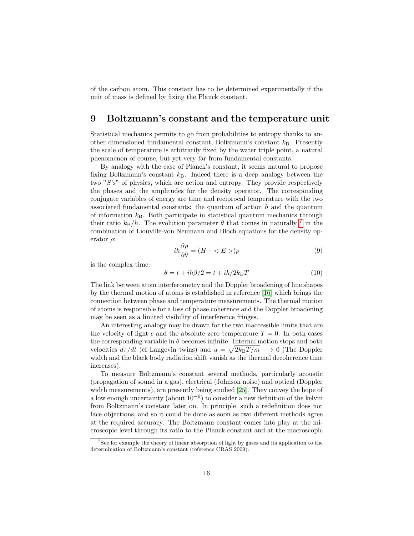of the carbon atom. This constant has to be determined experimentally if the unit of mass is defined by fixing the Planck constant.

### 9 Boltzmann's constant and the temperature unit

Statistical mechanics permits to go from probabilities to entropy thanks to another dimensioned fundamental constant, Boltzmann's constant  $k_B$ . Presently the scale of temperature is arbitrarily fixed by the water triple point, a natural phenomenon of course, but yet very far from fundamental constants.

By analogy with the case of Planck's constant, it seems natural to propose fixing Boltzmann's constant  $k_B$ . Indeed there is a deep analogy between the two "S's" of physics, which are action and entropy. They provide respectively the phases and the amplitudes for the density operator. The corresponding conjugate variables of energy are time and reciprocal temperature with the two associated fundamental constants: the quantum of action  $h$  and the quantum of information  $k_B$ . Both participate in statistical quantum mechanics through their ratio  $k_B/h$ . The evolution parameter  $\theta$  that comes in naturally <sup>[7](#page-15-0)</sup> in the combination of Liouville-von Neumann and Bloch equations for the density operator ρ:

$$
i\hbar \frac{\partial \rho}{\partial \theta} = (H - \langle E \rangle) \rho \tag{9}
$$

is the complex time:

$$
\theta = t + i\hbar \beta / 2 = t + i\hbar / 2k_{\text{B}}T \tag{10}
$$

The link between atom interferometry and the Doppler broadening of line shapes by the thermal motion of atoms is established in reference [\[16\]](#page-27-9) which brings the connection between phase and temperature measurements. The thermal motion of atoms is responsible for a loss of phase coherence and the Doppler broadening may be seen as a limited visibility of interference fringes.

An interesting analogy may be drawn for the two inaccessible limits that are the velocity of light c and the absolute zero temperature  $T = 0$ . In both cases the corresponding variable in  $\theta$  becomes infinite. Internal motion stops and both velocities  $d\tau/dt$  (cf Langevin twins) and  $u = \sqrt{2k_BT/m} \longrightarrow 0$  (The Doppler width and the black body radiation shift vanish as the thermal decoherence time increases).

To measure Boltzmann's constant several methods, particularly acoustic (propagation of sound in a gas), electrical (Johnson noise) and optical (Doppler width measurements), are presently being studied [\[25\]](#page-27-10). They convey the hope of a low enough uncertainty (about  $10^{-6}$ ) to consider a new definition of the kelvin from Boltzmann's constant later on. In principle, such a redefinition does not face objections, and so it could be done as soon as two different methods agree at the required accuracy. The Boltzmann constant comes into play at the microscopic level through its ratio to the Planck constant and at the macroscopic

<span id="page-15-0"></span><sup>7</sup>See for example the theory of linear absorption of light by gases and its application to the determination of Boltzmann's constant (reference CRAS 2009).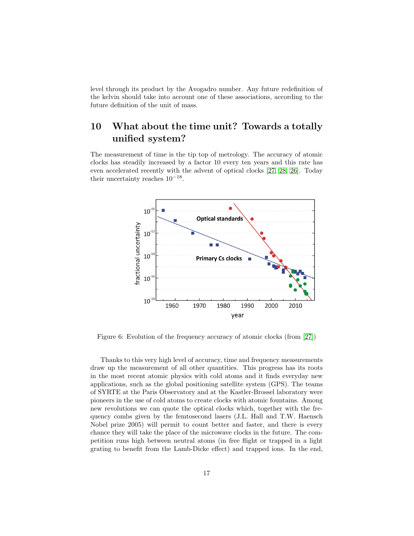level through its product by the Avogadro number. Any future redefinition of the kelvin should take into account one of these associations, according to the future definition of the unit of mass.

### 10 What about the time unit? Towards a totally unified system?

The measurement of time is the tip top of metrology. The accuracy of atomic clocks has steadily increased by a factor 10 every ten years and this rate has even accelerated recently with the advent of optical clocks [\[27,](#page-27-11) [28,](#page-27-12) [26\]](#page-27-13). Today their uncertainty reaches  $10^{-18}$ .



Figure 6: Evolution of the frequency accuracy of atomic clocks (from [\[27\]](#page-27-11))

Thanks to this very high level of accuracy, time and frequency measurements draw up the measurement of all other quantities. This progress has its roots in the most recent atomic physics with cold atoms and it finds everyday new applications, such as the global positioning satellite system (GPS). The teams of SYRTE at the Paris Observatory and at the Kastler-Brossel laboratory were pioneers in the use of cold atoms to create clocks with atomic fountains. Among new revolutions we can quote the optical clocks which, together with the frequency combs given by the femtosecond lasers (J.L. Hall and T.W. Haensch Nobel prize 2005) will permit to count better and faster, and there is every chance they will take the place of the microwave clocks in the future. The competition runs high between neutral atoms (in free flight or trapped in a light grating to benefit from the Lamb-Dicke effect) and trapped ions. In the end,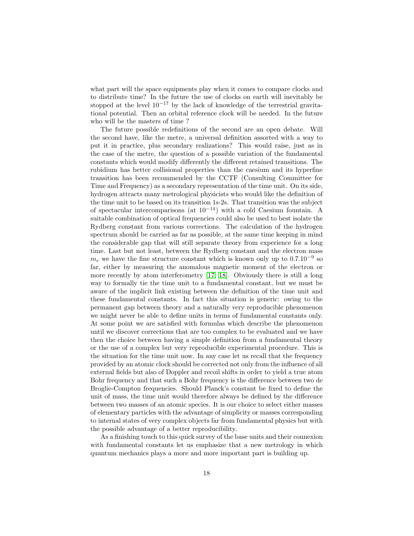what part will the space equipments play when it comes to compare clocks and to distribute time? In the future the use of clocks on earth will inevitably be stopped at the level  $10^{-17}$  by the lack of knowledge of the terrestrial gravitational potential. Then an orbital reference clock will be needed. In the future who will be the masters of time ?

The future possible redefinitions of the second are an open debate. Will the second have, like the metre, a universal definition assorted with a way to put it in practice, plus secondary realizations? This would raise, just as in the case of the metre, the question of a possible variation of the fundamental constants which would modify differently the different retained transitions. The rubidium has better collisional properties than the caesium and its hyperfine transition has been recommended by the CCTF (Consulting Committee for Time and Frequency) as a secondary representation of the time unit. On its side, hydrogen attracts many metrological physicists who would like the definition of the time unit to be based on its transition 1s-2s. That transition was the subject of spectacular intercomparisons (at  $10^{-14}$ ) with a cold Caesium fountain. A suitable combination of optical frequencies could also be used to best isolate the Rydberg constant from various corrections. The calculation of the hydrogen spectrum should be carried as far as possible, at the same time keeping in mind the considerable gap that will still separate theory from experience for a long time. Last but not least, between the Rydberg constant and the electron mass  $m_e$  we have the fine structure constant which is known only up to  $0.7.10^{-9}$  so far, either by measuring the anomalous magnetic moment of the electron or more recently by atom interferometry [\[17,](#page-27-5) [18\]](#page-27-6). Obviously there is still a long way to formally tie the time unit to a fundamental constant, but we must be aware of the implicit link existing between the definition of the time unit and these fundamental constants. In fact this situation is generic: owing to the permanent gap between theory and a naturally very reproducible phenomenon we might never be able to define units in terms of fundamental constants only. At some point we are satisfied with formulas which describe the phenomenon until we discover corrections that are too complex to be evaluated and we have then the choice between having a simple definition from a fundamental theory or the use of a complex but very reproducible experimental procedure. This is the situation for the time unit now. In any case let us recall that the frequency provided by an atomic clock should be corrected not only from the influence of all external fields but also of Doppler and recoil shifts in order to yield a true atom Bohr frequency and that such a Bohr frequency is the difference between two de Broglie-Compton frequencies. Should Planck's constant be fixed to define the unit of mass, the time unit would therefore always be defined by the difference between two masses of an atomic species. It is our choice to select either masses of elementary particles with the advantage of simplicity or masses corresponding to internal states of very complex objects far from fundamental physics but with the possible advantage of a better reproducibility.

As a finishing touch to this quick survey of the base units and their connexion with fundamental constants let us emphasize that a new metrology in which quantum mechanics plays a more and more important part is building up.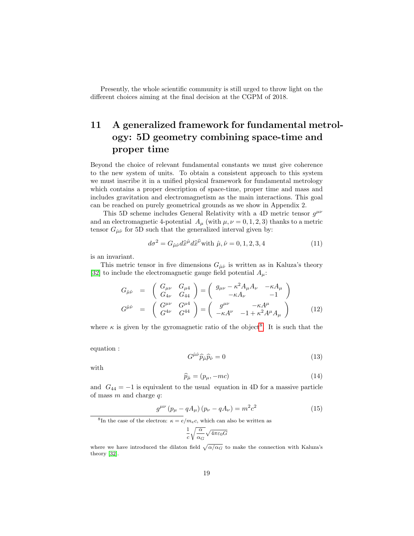Presently, the whole scientific community is still urged to throw light on the different choices aiming at the final decision at the CGPM of 2018.

# 11 A generalized framework for fundamental metrology: 5D geometry combining space-time and proper time

Beyond the choice of relevant fundamental constants we must give coherence to the new system of units. To obtain a consistent approach to this system we must inscribe it in a unified physical framework for fundamental metrology which contains a proper description of space-time, proper time and mass and includes gravitation and electromagnetism as the main interactions. This goal can be reached on purely geometrical grounds as we show in Appendix 2.

This 5D scheme includes General Relativity with a 4D metric tensor  $g^{\mu\nu}$ and an electromagnetic 4-potential  $A_{\mu}$  (with  $\mu, \nu = 0, 1, 2, 3$ ) thanks to a metric tensor  $G_{\hat{\mu}\hat{\nu}}$  for 5D such that the generalized interval given by:

$$
d\sigma^2 = G_{\hat{\mu}\hat{\nu}} d\hat{x}^{\hat{\mu}} d\hat{x}^{\hat{\nu}} \text{ with } \hat{\mu}, \hat{\nu} = 0, 1, 2, 3, 4 \tag{11}
$$

is an invariant.

This metric tensor in five dimensions  $G_{\hat{\mu}\hat{\nu}}$  is written as in Kaluza's theory [\[32\]](#page-28-1) to include the electromagnetic gauge field potential  $A_\mu$ :

$$
G_{\hat{\mu}\hat{\nu}} = \begin{pmatrix} G_{\mu\nu} & G_{\mu4} \\ G_{4\nu} & G_{44} \end{pmatrix} = \begin{pmatrix} g_{\mu\nu} - \kappa^2 A_{\mu} A_{\nu} & -\kappa A_{\mu} \\ -\kappa A_{\nu} & -1 \end{pmatrix}
$$

$$
G^{\hat{\mu}\hat{\nu}} = \begin{pmatrix} G^{\mu\nu} & G^{\mu4} \\ G^{4\nu} & G^{44} \end{pmatrix} = \begin{pmatrix} g^{\mu\nu} & -\kappa A^{\mu} \\ -\kappa A^{\nu} & -1 + \kappa^2 A^{\mu} A_{\mu} \end{pmatrix}
$$
(12)

where  $\kappa$  is given by the gyromagnetic ratio of the object<sup>[8](#page-18-0)</sup>. It is such that the

equation :

$$
G^{\hat{\mu}\hat{\nu}}\hat{p}_{\hat{\mu}}\hat{p}_{\hat{\nu}} = 0\tag{13}
$$

with

$$
\widehat{p}_{\widehat{\mu}} = (p_{\mu}, -mc) \tag{14}
$$

and  $G_{44} = -1$  is equivalent to the usual equation in 4D for a massive particle of mass  $m$  and charge  $q$ :

$$
g^{\mu\nu} (p_{\mu} - qA_{\mu}) (p_{\nu} - qA_{\nu}) = m^{2} c^{2}
$$
 (15)

<span id="page-18-0"></span><sup>8</sup>In the case of the electron:  $\kappa = e/m_ec$ , which can also be written as

$$
\frac{1}{c}\sqrt{\frac{\alpha}{\alpha_G}}\sqrt{4\pi\varepsilon_0 G}
$$

where we have introduced the dilaton field  $\sqrt{\alpha/\alpha_G}$  to make the connection with Kaluza's theory [\[32\]](#page-28-1).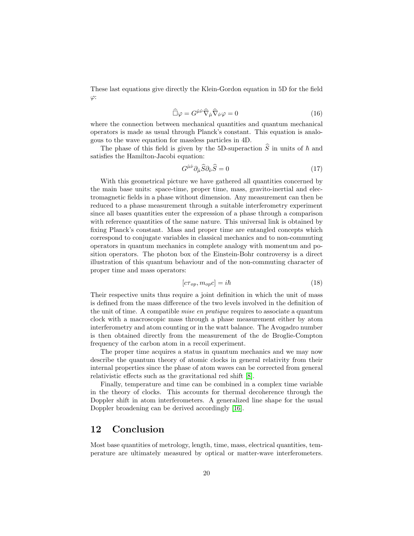These last equations give directly the Klein-Gordon equation in 5D for the field  $\varphi$ :

$$
\widehat{\Box}\varphi = G^{\hat{\mu}\hat{\nu}}\widehat{\nabla}_{\hat{\mu}}\widehat{\nabla}_{\hat{\nu}}\varphi = 0
$$
\n(16)

where the connection between mechanical quantities and quantum mechanical operators is made as usual through Planck's constant. This equation is analogous to the wave equation for massless particles in 4D.

The phase of this field is given by the 5D-superaction  $\hat{S}$  in units of  $\hbar$  and satisfies the Hamilton-Jacobi equation:

$$
G^{\hat{\mu}\hat{\nu}}\partial_{\hat{\mu}}\hat{S}\partial_{\hat{\nu}}\hat{S} = 0\tag{17}
$$

With this geometrical picture we have gathered all quantities concerned by the main base units: space-time, proper time, mass, gravito-inertial and electromagnetic fields in a phase without dimension. Any measurement can then be reduced to a phase measurement through a suitable interferometry experiment since all bases quantities enter the expression of a phase through a comparison with reference quantities of the same nature. This universal link is obtained by fixing Planck's constant. Mass and proper time are entangled concepts which correspond to conjugate variables in classical mechanics and to non-commuting operators in quantum mechanics in complete analogy with momentum and position operators. The photon box of the Einstein-Bohr controversy is a direct illustration of this quantum behaviour and of the non-commuting character of proper time and mass operators:

$$
[c\tau_{op}, m_{op}c] = i\hbar \tag{18}
$$

Their respective units thus require a joint definition in which the unit of mass is defined from the mass difference of the two levels involved in the definition of the unit of time. A compatible mise en pratique requires to associate a quantum clock with a macroscopic mass through a phase measurement either by atom interferometry and atom counting or in the watt balance. The Avogadro number is then obtained directly from the measurement of the de Broglie-Compton frequency of the carbon atom in a recoil experiment.

The proper time acquires a status in quantum mechanics and we may now describe the quantum theory of atomic clocks in general relativity from their internal properties since the phase of atom waves can be corrected from general relativistic effects such as the gravitational red shift [\[8\]](#page-26-7).

Finally, temperature and time can be combined in a complex time variable in the theory of clocks. This accounts for thermal decoherence through the Doppler shift in atom interferometers. A generalized line shape for the usual Doppler broadening can be derived accordingly [\[16\]](#page-27-9).

#### 12 Conclusion

Most base quantities of metrology, length, time, mass, electrical quantities, temperature are ultimately measured by optical or matter-wave interferometers.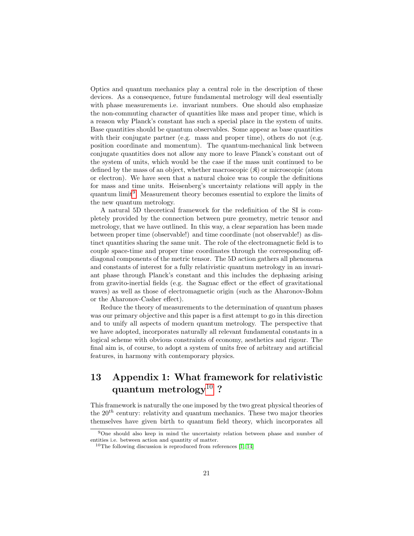Optics and quantum mechanics play a central role in the description of these devices. As a consequence, future fundamental metrology will deal essentially with phase measurements i.e. invariant numbers. One should also emphasize the non-commuting character of quantities like mass and proper time, which is a reason why Planck's constant has such a special place in the system of units. Base quantities should be quantum observables. Some appear as base quantities with their conjugate partner (e.g. mass and proper time), others do not (e.g. position coordinate and momentum). The quantum-mechanical link between conjugate quantities does not allow any more to leave Planck's constant out of the system of units, which would be the case if the mass unit continued to be defined by the mass of an object, whether macroscopic  $(\mathfrak{K})$  or microscopic (atom or electron). We have seen that a natural choice was to couple the definitions for mass and time units. Heisenberg's uncertainty relations will apply in the quantum limit<sup>[9](#page-20-0)</sup>. Measurement theory becomes essential to explore the limits of the new quantum metrology.

A natural 5D theoretical framework for the redefinition of the SI is completely provided by the connection between pure geometry, metric tensor and metrology, that we have outlined. In this way, a clear separation has been made between proper time (observable!) and time coordinate (not observable!) as distinct quantities sharing the same unit. The role of the electromagnetic field is to couple space-time and proper time coordinates through the corresponding offdiagonal components of the metric tensor. The 5D action gathers all phenomena and constants of interest for a fully relativistic quantum metrology in an invariant phase through Planck's constant and this includes the dephasing arising from gravito-inertial fields (e.g. the Sagnac effect or the effect of gravitational waves) as well as those of electromagnetic origin (such as the Aharonov-Bohm or the Aharonov-Casher effect).

Reduce the theory of measurements to the determination of quantum phases was our primary objective and this paper is a first attempt to go in this direction and to unify all aspects of modern quantum metrology. The perspective that we have adopted, incorporates naturally all relevant fundamental constants in a logical scheme with obvious constraints of economy, aesthetics and rigour. The final aim is, of course, to adopt a system of units free of arbitrary and artificial features, in harmony with contemporary physics.

### 13 Appendix 1: What framework for relativistic quantum metrology<sup>[10](#page-20-1)</sup>?

This framework is naturally the one imposed by the two great physical theories of the  $20<sup>th</sup>$  century: relativity and quantum mechanics. These two major theories themselves have given birth to quantum field theory, which incorporates all

<span id="page-20-0"></span><sup>9</sup>One should also keep in mind the uncertainty relation between phase and number of entities i.e. between action and quantity of matter.

<span id="page-20-1"></span> $10$ The following discussion is reproduced from references [\[1,](#page-26-0) [14\]](#page-26-1)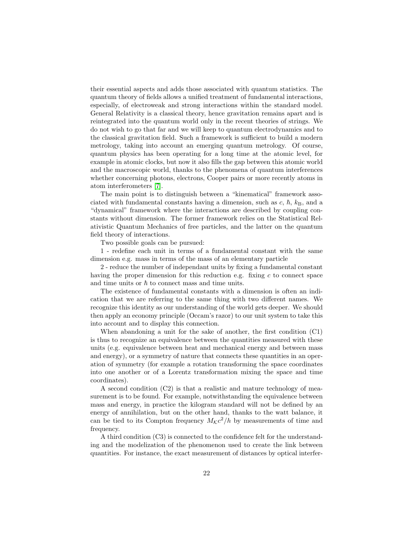their essential aspects and adds those associated with quantum statistics. The quantum theory of fields allows a unified treatment of fundamental interactions, especially, of electroweak and strong interactions within the standard model. General Relativity is a classical theory, hence gravitation remains apart and is reintegrated into the quantum world only in the recent theories of strings. We do not wish to go that far and we will keep to quantum electrodynamics and to the classical gravitation field. Such a framework is sufficient to build a modern metrology, taking into account an emerging quantum metrology. Of course, quantum physics has been operating for a long time at the atomic level, for example in atomic clocks, but now it also fills the gap between this atomic world and the macroscopic world, thanks to the phenomena of quantum interferences whether concerning photons, electrons, Cooper pairs or more recently atoms in atom interferometers [\[7\]](#page-26-3).

The main point is to distinguish between a "kinematical" framework associated with fundamental constants having a dimension, such as  $c, \hbar, k_B$ , and a "dynamical" framework where the interactions are described by coupling constants without dimension. The former framework relies on the Statistical Relativistic Quantum Mechanics of free particles, and the latter on the quantum field theory of interactions.

Two possible goals can be pursued:

1 - redefine each unit in terms of a fundamental constant with the same dimension e.g. mass in terms of the mass of an elementary particle

2 - reduce the number of independant units by fixing a fundamental constant having the proper dimension for this reduction e.g. fixing  $c$  to connect space and time units or  $\hbar$  to connect mass and time units.

The existence of fundamental constants with a dimension is often an indication that we are referring to the same thing with two different names. We recognize this identity as our understanding of the world gets deeper. We should then apply an economy principle (Occam's razor) to our unit system to take this into account and to display this connection.

When abandoning a unit for the sake of another, the first condition (C1) is thus to recognize an equivalence between the quantities measured with these units (e.g. equivalence between heat and mechanical energy and between mass and energy), or a symmetry of nature that connects these quantities in an operation of symmetry (for example a rotation transforming the space coordinates into one another or of a Lorentz transformation mixing the space and time coordinates).

A second condition (C2) is that a realistic and mature technology of measurement is to be found. For example, notwithstanding the equivalence between mass and energy, in practice the kilogram standard will not be defined by an energy of annihilation, but on the other hand, thanks to the watt balance, it can be tied to its Compton frequency  $M_K c^2/h$  by measurements of time and frequency.

A third condition (C3) is connected to the confidence felt for the understanding and the modelization of the phenomenon used to create the link between quantities. For instance, the exact measurement of distances by optical interfer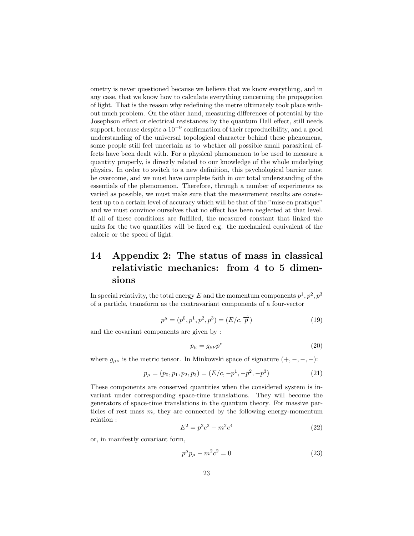ometry is never questioned because we believe that we know everything, and in any case, that we know how to calculate everything concerning the propagation of light. That is the reason why redefining the metre ultimately took place without much problem. On the other hand, measuring differences of potential by the Josephson effect or electrical resistances by the quantum Hall effect, still needs support, because despite a 10<sup>-9</sup> confirmation of their reproducibility, and a good understanding of the universal topological character behind these phenomena, some people still feel uncertain as to whether all possible small parasitical effects have been dealt with. For a physical phenomenon to be used to measure a quantity properly, is directly related to our knowledge of the whole underlying physics. In order to switch to a new definition, this psychological barrier must be overcome, and we must have complete faith in our total understanding of the essentials of the phenomenon. Therefore, through a number of experiments as varied as possible, we must make sure that the measurement results are consistent up to a certain level of accuracy which will be that of the "mise en pratique" and we must convince ourselves that no effect has been neglected at that level. If all of these conditions are fulfilled, the measured constant that linked the units for the two quantities will be fixed e.g. the mechanical equivalent of the calorie or the speed of light.

# 14 Appendix 2: The status of mass in classical relativistic mechanics: from 4 to 5 dimensions

In special relativity, the total energy E and the momentum components  $p^1, p^2, p^3$ of a particle, transform as the contravariant components of a four-vector

$$
p^{\mu} = (p^0, p^1, p^2, p^3) = (E/c, \overrightarrow{p})
$$
\n(19)

and the covariant components are given by :

$$
p_{\mu} = g_{\mu\nu} p^{\nu} \tag{20}
$$

where  $g_{\mu\nu}$  is the metric tensor. In Minkowski space of signature  $(+, -, -, -)$ :

$$
p_{\mu} = (p_0, p_1, p_2, p_3) = (E/c, -p^1, -p^2, -p^3)
$$
\n(21)

These components are conserved quantities when the considered system is invariant under corresponding space-time translations. They will become the generators of space-time translations in the quantum theory. For massive particles of rest mass m, they are connected by the following energy-momentum relation :

<span id="page-22-0"></span>
$$
E^2 = p^2c^2 + m^2c^4 \tag{22}
$$

or, in manifestly covariant form,

$$
p^{\mu}p_{\mu} - m^2c^2 = 0 \tag{23}
$$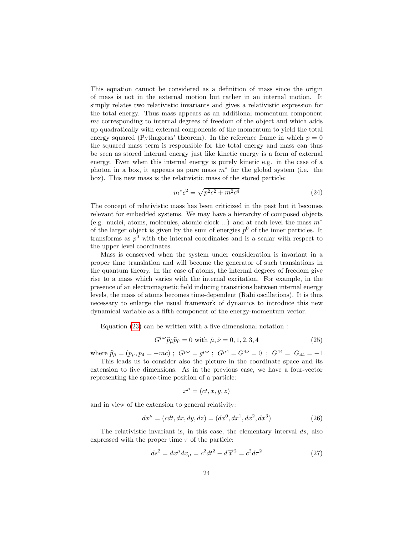This equation cannot be considered as a definition of mass since the origin of mass is not in the external motion but rather in an internal motion. It simply relates two relativistic invariants and gives a relativistic expression for the total energy. Thus mass appears as an additional momentum component mc corresponding to internal degrees of freedom of the object and which adds up quadratically with external components of the momentum to yield the total energy squared (Pythagoras' theorem). In the reference frame in which  $p = 0$ the squared mass term is responsible for the total energy and mass can thus be seen as stored internal energy just like kinetic energy is a form of external energy. Even when this internal energy is purely kinetic e.g. in the case of a photon in a box, it appears as pure mass  $m^*$  for the global system (i.e. the box). This new mass is the relativistic mass of the stored particle:

$$
m^*c^2 = \sqrt{p^2c^2 + m^2c^4} \tag{24}
$$

The concept of relativistic mass has been criticized in the past but it becomes relevant for embedded systems. We may have a hierarchy of composed objects (e.g. nuclei, atoms, molecules, atomic clock ...) and at each level the mass  $m^*$ of the larger object is given by the sum of energies  $p^0$  of the inner particles. It transforms as  $p^0$  with the internal coordinates and is a scalar with respect to the upper level coordinates.

Mass is conserved when the system under consideration is invariant in a proper time translation and will become the generator of such translations in the quantum theory. In the case of atoms, the internal degrees of freedom give rise to a mass which varies with the internal excitation. For example, in the presence of an electromagnetic field inducing transitions between internal energy levels, the mass of atoms becomes time-dependent (Rabi oscillations). It is thus necessary to enlarge the usual framework of dynamics to introduce this new dynamical variable as a fifth component of the energy-momentum vector.

Equation [\(23\)](#page-22-0) can be written with a five dimensional notation :

$$
G^{\hat{\mu}\hat{\nu}}\hat{p}_{\hat{\mu}}\hat{p}_{\hat{\nu}} = 0 \text{ with } \hat{\mu}, \hat{\nu} = 0, 1, 2, 3, 4 \tag{25}
$$

where  $\hat{p}_{\hat{\mu}} = (p_{\mu}, p_4 = -mc)$ ;  $G^{\mu\nu} = g^{\mu\nu}$ ;  $G^{\hat{\mu}4} = G^{4\hat{\nu}} = 0$ ;  $G^{44} = G_{44} = -1$ <br>This loods us to consider also the picture in the coordinate space and its

This leads us to consider also the picture in the coordinate space and its extension to five dimensions. As in the previous case, we have a four-vector representing the space-time position of a particle:

<span id="page-23-0"></span>
$$
x^{\mu} = (ct, x, y, z)
$$

and in view of the extension to general relativity:

$$
dx^{\mu} = (cdt, dx, dy, dz) = (dx^{0}, dx^{1}, dx^{2}, dx^{3})
$$
\n(26)

The relativistic invariant is, in this case, the elementary interval ds, also expressed with the proper time  $\tau$  of the particle:

$$
ds^{2} = dx^{\mu} dx_{\mu} = c^{2} dt^{2} - d\vec{x}^{2} = c^{2} d\tau^{2}
$$
 (27)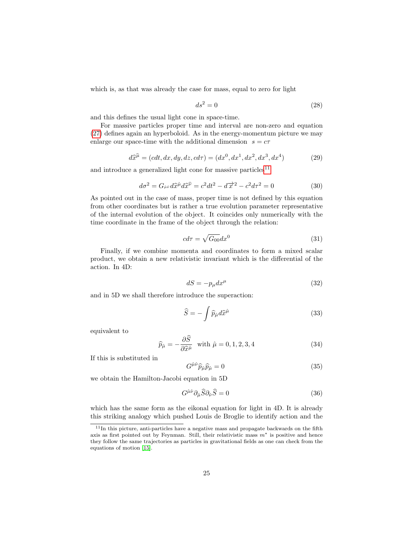which is, as that was already the case for mass, equal to zero for light

$$
ds^2 = 0\tag{28}
$$

and this defines the usual light cone in space-time.

For massive particles proper time and interval are non-zero and equation [\(27\)](#page-23-0) defines again an hyperboloid. As in the energy-momentum picture we may enlarge our space-time with the additional dimension  $s = c\tau$ 

$$
d\hat{x}^{\hat{\mu}} = (cdt, dx, dy, dz, cd\tau) = (dx^0, dx^1, dx^2, dx^3, dx^4)
$$
 (29)

and introduce a generalized light cone for massive particles<sup>[11](#page-24-0)</sup>

$$
d\sigma^2 = G_{\mu\nu} d\widehat{x}^{\mu} d\widehat{x}^{\widehat{\nu}} = c^2 dt^2 - d\overrightarrow{x}^2 - c^2 d\tau^2 = 0
$$
 (30)

As pointed out in the case of mass, proper time is not defined by this equation from other coordinates but is rather a true evolution parameter representative of the internal evolution of the object. It coincides only numerically with the time coordinate in the frame of the object through the relation:

$$
cd\tau = \sqrt{G_{00}}dx^0\tag{31}
$$

Finally, if we combine momenta and coordinates to form a mixed scalar product, we obtain a new relativistic invariant which is the differential of the action. In 4D:

$$
dS = -p_{\mu}dx^{\mu} \tag{32}
$$

and in 5D we shall therefore introduce the superaction:

$$
\widehat{S} = -\int \widehat{p}_{\hat{\mu}} d\widehat{x}^{\hat{\mu}} \tag{33}
$$

equivalent to

$$
\widehat{p}_{\hat{\mu}} = -\frac{\partial \widehat{S}}{\partial \widehat{x}^{\hat{\mu}}} \quad \text{with } \hat{\mu} = 0, 1, 2, 3, 4 \tag{34}
$$

If this is substituted in

$$
G^{\hat{\mu}\hat{\nu}}\hat{p}_{\hat{\mu}}\hat{p}_{\hat{\mu}} = 0\tag{35}
$$

we obtain the Hamilton-Jacobi equation in 5D

$$
G^{\hat{\mu}\hat{\nu}}\partial_{\hat{\mu}}\hat{S}\partial_{\hat{\nu}}\hat{S} = 0\tag{36}
$$

which has the same form as the eikonal equation for light in 4D. It is already this striking analogy which pushed Louis de Broglie to identify action and the

<span id="page-24-0"></span> $11$ In this picture, anti-particles have a negative mass and propagate backwards on the fifth axis as first pointed out by Feynman. Still, their relativistic mass  $m^*$  is positive and hence they follow the same trajectories as particles in gravitational fields as one can check from the equations of motion [\[15\]](#page-26-8).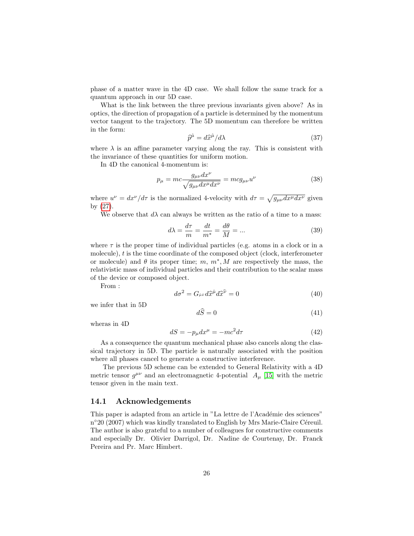phase of a matter wave in the 4D case. We shall follow the same track for a quantum approach in our 5D case.

What is the link between the three previous invariants given above? As in optics, the direction of propagation of a particle is determined by the momentum vector tangent to the trajectory. The 5D momentum can therefore be written in the form:

$$
\widehat{p}^{\hat{\mu}} = d\widehat{x}^{\hat{\mu}} / d\lambda \tag{37}
$$

where  $\lambda$  is an affine parameter varying along the ray. This is consistent with the invariance of these quantities for uniform motion.

In 4D the canonical 4-momentum is:

$$
p_{\mu} = mc \frac{g_{\mu\nu} dx^{\nu}}{\sqrt{g_{\mu\nu} dx^{\mu} dx^{\nu}}} = mc g_{\mu\nu} u^{\nu}
$$
 (38)

where  $u^{\nu} = dx^{\nu}/d\tau$  is the normalized 4-velocity with  $d\tau = \sqrt{g_{\mu\nu}dx^{\mu}dx^{\nu}}$  given by [\(27\)](#page-23-0).

We observe that  $d\lambda$  can always be written as the ratio of a time to a mass:

$$
d\lambda = \frac{d\tau}{m} = \frac{dt}{m^*} = \frac{d\theta}{M} = \dots
$$
 (39)

where  $\tau$  is the proper time of individual particles (e.g. atoms in a clock or in a molecule),  $t$  is the time coordinate of the composed object (clock, interferometer or molecule) and  $\theta$  its proper time; m,  $m^*$ , M are respectively the mass, the relativistic mass of individual particles and their contribution to the scalar mass of the device or composed object.

From :

$$
d\sigma^2 = G_{\hat{\mu}\hat{\nu}} d\hat{x}^{\hat{\mu}} d\hat{x}^{\hat{\nu}} = 0 \tag{40}
$$

we infer that in 5D

$$
d\widehat{S} = 0\tag{41}
$$

wheras in 4D

$$
dS = -p_{\mu}dx^{\mu} = -mc^2d\tau\tag{42}
$$

As a consequence the quantum mechanical phase also cancels along the classical trajectory in 5D. The particle is naturally associated with the position where all phases cancel to generate a constructive interference.

The previous 5D scheme can be extended to General Relativity with a 4D metric tensor  $g^{\mu\nu}$  and an electromagnetic 4-potential  $A_{\mu}$  [\[15\]](#page-26-8) with the metric tensor given in the main text.

#### 14.1 Acknowledgements

This paper is adapted from an article in "La lettre de l'Académie des sciences" n°20 (2007) which was kindly translated to English by Mrs Marie-Claire Céreuil. The author is also grateful to a number of colleagues for constructive comments and especially Dr. Olivier Darrigol, Dr. Nadine de Courtenay, Dr. Franck Pereira and Pr. Marc Himbert.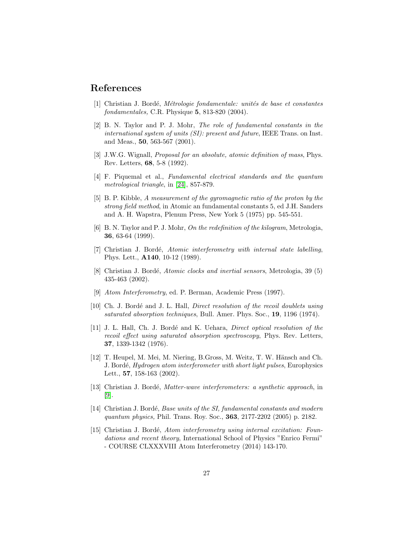#### References

- <span id="page-26-0"></span>[1] Christian J. Bordé, *Métrologie fondamentale: unités de base et constantes* fondamentales, C.R. Physique 5, 813-820 (2004).
- [2] B. N. Taylor and P. J. Mohr, The role of fundamental constants in the international system of units (SI): present and future, IEEE Trans. on Inst. and Meas., 50, 563-567 (2001).
- [3] J.W.G. Wignall, Proposal for an absolute, atomic definition of mass, Phys. Rev. Letters, 68, 5-8 (1992).
- [4] F. Piquemal et al., Fundamental electrical standards and the quantum metrological triangle, in [\[24\]](#page-27-14), 857-879.
- <span id="page-26-6"></span>[5] B. P. Kibble, A measurement of the gyromagnetic ratio of the proton by the strong field method, in Atomic an fundamental constants 5, ed J.H. Sanders and A. H. Wapstra, Plenum Press, New York 5 (1975) pp. 545-551.
- [6] B. N. Taylor and P. J. Mohr, On the redefinition of the kilogram, Metrologia, 36, 63-64 (1999).
- <span id="page-26-3"></span>[7] Christian J. Bordé, Atomic interferometry with internal state labelling, Phys. Lett., A140, 10-12 (1989).
- <span id="page-26-7"></span>[8] Christian J. Bordé, Atomic clocks and inertial sensors, Metrologia, 39 (5) 435-463 (2002).
- <span id="page-26-4"></span>[9] Atom Interferometry, ed. P. Berman, Academic Press (1997).
- <span id="page-26-2"></span>[10] Ch. J. Bordé and J. L. Hall, *Direct resolution of the recoil doublets using* saturated absorption techniques, Bull. Amer. Phys. Soc., 19, 1196 (1974).
- [11] J. L. Hall, Ch. J. Bordé and K. Uehara, *Direct optical resolution of the* recoil effect using saturated absorption spectroscopy, Phys. Rev. Letters, 37, 1339-1342 (1976).
- [12] T. Heupel, M. Mei, M. Niering, B.Gross, M. Weitz, T. W. Hänsch and Ch. J. Bordé, *Hydrogen atom interferometer with short light pulses*, Europhysics Lett., 57, 158-163 (2002).
- <span id="page-26-5"></span>[13] Christian J. Bordé, *Matter-wave interferometers: a synthetic approach*, in [\[9\]](#page-26-4).
- <span id="page-26-1"></span>[14] Christian J. Bordé, *Base units of the SI*, *fundamental constants and modern* quantum physics, Phil. Trans. Roy. Soc., 363, 2177-2202 (2005) p. 2182.
- <span id="page-26-8"></span>[15] Christian J. Bord´e, Atom interferometry using internal excitation: Foundations and recent theory, International School of Physics "Enrico Fermi" - COURSE CLXXXVIII Atom Interferometry (2014) 143-170.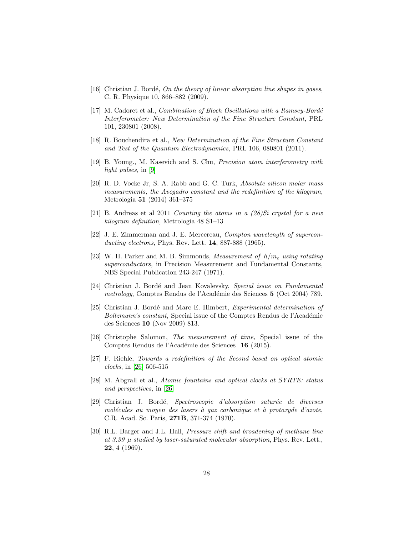- <span id="page-27-9"></span>[16] Christian J. Bordé, On the theory of linear absorption line shapes in gases, C. R. Physique 10, 866–882 (2009).
- <span id="page-27-5"></span> $[17]$  M. Cadoret et al., *Combination of Bloch Oscillations with a Ramsey-Bordé* Interferometer: New Determination of the Fine Structure Constant, PRL 101, 230801 (2008).
- <span id="page-27-6"></span>[18] R. Bouchendira et al., New Determination of the Fine Structure Constant and Test of the Quantum Electrodynamics, PRL 106, 080801 (2011).
- <span id="page-27-4"></span>[19] B. Young., M. Kasevich and S. Chu, Precision atom interferometry with light pulses, in [\[9\]](#page-26-4)
- <span id="page-27-3"></span>[20] R. D. Vocke Jr, S. A. Rabb and G. C. Turk, Absolute silicon molar mass measurements, the Avogadro constant and the redefinition of the kilogram, Metrologia 51 (2014) 361–375
- <span id="page-27-2"></span>[21] B. Andreas et al 2011 Counting the atoms in a (28)Si crystal for a new kilogram definition, Metrologia 48 S1–13
- <span id="page-27-7"></span>[22] J. E. Zimmerman and J. E. Mercereau, Compton wavelength of superconducting electrons, Phys. Rev. Lett. 14, 887-888 (1965).
- <span id="page-27-8"></span>[23] W. H. Parker and M. B. Simmonds, *Measurement of*  $h/m_e$  *using rotating* superconductors, in Precision Measurement and Fundamental Constants, NBS Special Publication 243-247 (1971).
- <span id="page-27-14"></span>[24] Christian J. Bordé and Jean Kovalevsky, Special issue on Fundamental metrology, Comptes Rendus de l'Académie des Sciences 5 (Oct 2004) 789.
- <span id="page-27-10"></span>[25] Christian J. Bordé and Marc E. Himbert, *Experimental determination of* Boltzmann's constant, Special issue of the Comptes Rendus de l'Académie des Sciences 10 (Nov 2009) 813.
- <span id="page-27-13"></span>[26] Christophe Salomon, The measurement of time, Special issue of the Comptes Rendus de l'Académie des Sciences 16 (2015).
- <span id="page-27-11"></span>[27] F. Riehle, Towards a redefinition of the Second based on optical atomic clocks, in [\[26\]](#page-27-13) 506-515
- <span id="page-27-12"></span>[28] M. Abgrall et al., Atomic fountains and optical clocks at SYRTE: status and perspectives, in [\[26\]](#page-27-13)
- <span id="page-27-1"></span>[29] Christian J. Bordé, Spectroscopie d'absorption saturée de diverses molécules au moyen des lasers à gaz carbonique et à protoxyde d'azote, C.R. Acad. Sc. Paris, 271B, 371-374 (1970).
- <span id="page-27-0"></span>[30] R.L. Barger and J.L. Hall, Pressure shift and broadening of methane line at 3.39  $\mu$  studied by laser-saturated molecular absorption, Phys. Rev. Lett., 22, 4 (1969).